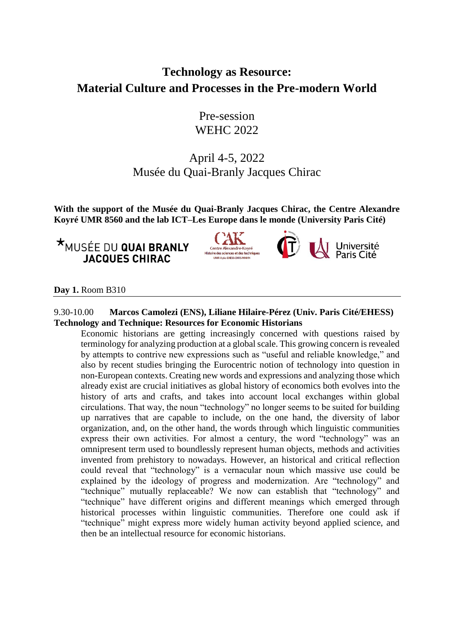# **Technology as Resource: Material Culture and Processes in the Pre-modern World**

Pre-session WEHC 2022

# April 4-5, 2022 Musée du Quai-Branly Jacques Chirac

**With the support of the Musée du Quai-Branly Jacques Chirac, the Centre Alexandre Koyré UMR 8560 and the lab ICT–Les Europe dans le monde (University Paris Cité)**

## **\*MUSÉE DU QUAI BRANLY JACQUES CHIRAC**



**Al Université**<br>**Al Paris Cité** 

## **Day 1.** Room B310

## 9.30-10.00 **Marcos Camolezi (ENS), Liliane Hilaire-Pérez (Univ. Paris Cité/EHESS) Technology and Technique: Resources for Economic Historians**

Economic historians are getting increasingly concerned with questions raised by terminology for analyzing production at a global scale. This growing concern is revealed by attempts to contrive new expressions such as "useful and reliable knowledge," and also by recent studies bringing the Eurocentric notion of technology into question in non-European contexts. Creating new words and expressions and analyzing those which already exist are crucial initiatives as global history of economics both evolves into the history of arts and crafts, and takes into account local exchanges within global circulations. That way, the noun "technology" no longer seems to be suited for building up narratives that are capable to include, on the one hand, the diversity of labor organization, and, on the other hand, the words through which linguistic communities express their own activities. For almost a century, the word "technology" was an omnipresent term used to boundlessly represent human objects, methods and activities invented from prehistory to nowadays. However, an historical and critical reflection could reveal that "technology" is a vernacular noun which massive use could be explained by the ideology of progress and modernization. Are "technology" and "technique" mutually replaceable? We now can establish that "technology" and "technique" have different origins and different meanings which emerged through historical processes within linguistic communities. Therefore one could ask if "technique" might express more widely human activity beyond applied science, and then be an intellectual resource for economic historians.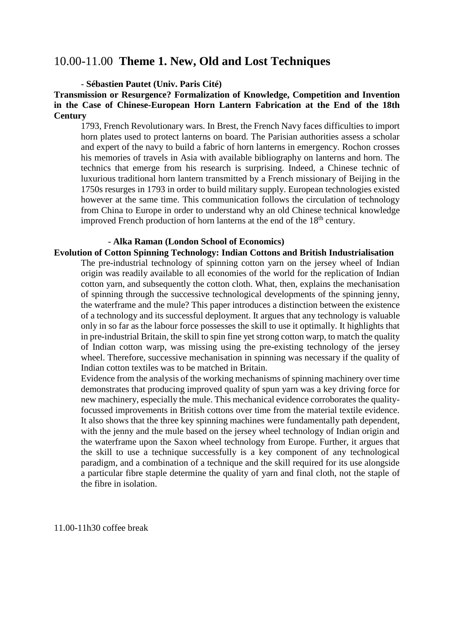## 10.00-11.00 **Theme 1. New, Old and Lost Techniques**

- **Sébastien Pautet (Univ. Paris Cité)**

**Transmission or Resurgence? Formalization of Knowledge, Competition and Invention in the Case of Chinese-European Horn Lantern Fabrication at the End of the 18th Century**

1793, French Revolutionary wars. In Brest, the French Navy faces difficulties to import horn plates used to protect lanterns on board. The Parisian authorities assess a scholar and expert of the navy to build a fabric of horn lanterns in emergency. Rochon crosses his memories of travels in Asia with available bibliography on lanterns and horn. The technics that emerge from his research is surprising. Indeed, a Chinese technic of luxurious traditional horn lantern transmitted by a French missionary of Beijing in the 1750s resurges in 1793 in order to build military supply. European technologies existed however at the same time. This communication follows the circulation of technology from China to Europe in order to understand why an old Chinese technical knowledge improved French production of horn lanterns at the end of the  $18<sup>th</sup>$  century.

## - **Alka Raman (London School of Economics)**

- **Evolution of Cotton Spinning Technology: Indian Cottons and British Industrialisation**
	- The pre-industrial technology of spinning cotton yarn on the jersey wheel of Indian origin was readily available to all economies of the world for the replication of Indian cotton yarn, and subsequently the cotton cloth. What, then, explains the mechanisation of spinning through the successive technological developments of the spinning jenny, the waterframe and the mule? This paper introduces a distinction between the existence of a technology and its successful deployment. It argues that any technology is valuable only in so far as the labour force possesses the skill to use it optimally. It highlights that in pre-industrial Britain, the skill to spin fine yet strong cotton warp, to match the quality of Indian cotton warp, was missing using the pre-existing technology of the jersey wheel. Therefore, successive mechanisation in spinning was necessary if the quality of Indian cotton textiles was to be matched in Britain.

Evidence from the analysis of the working mechanisms of spinning machinery over time demonstrates that producing improved quality of spun yarn was a key driving force for new machinery, especially the mule. This mechanical evidence corroborates the qualityfocussed improvements in British cottons over time from the material textile evidence. It also shows that the three key spinning machines were fundamentally path dependent, with the jenny and the mule based on the jersey wheel technology of Indian origin and the waterframe upon the Saxon wheel technology from Europe. Further, it argues that the skill to use a technique successfully is a key component of any technological paradigm, and a combination of a technique and the skill required for its use alongside a particular fibre staple determine the quality of yarn and final cloth, not the staple of the fibre in isolation.

11.00-11h30 coffee break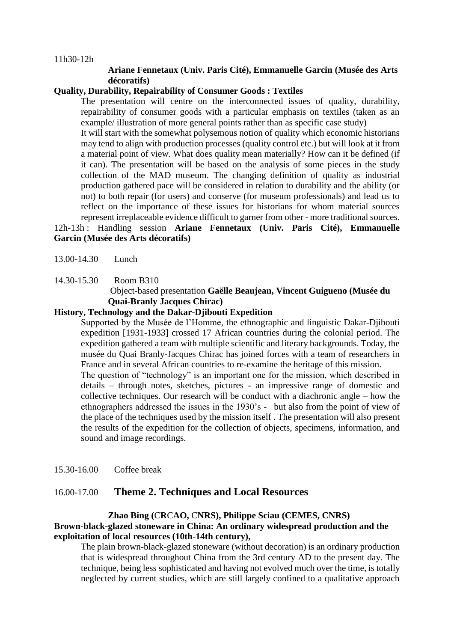## **Ariane Fennetaux (Univ. Paris Cité), Emmanuelle Garcin (Musée des Arts décoratifs)**

## **Quality, Durability, Repairability of Consumer Goods : Textiles**

The presentation will centre on the interconnected issues of quality, durability, repairability of consumer goods with a particular emphasis on textiles (taken as an example/ illustration of more general points rather than as specific case study)

It will start with the somewhat polysemous notion of quality which economic historians may tend to align with production processes (quality control etc.) but will look at it from a material point of view. What does quality mean materially? How can it be defined (if it can). The presentation will be based on the analysis of some pieces in the study collection of the MAD museum. The changing definition of quality as industrial production gathered pace will be considered in relation to durability and the ability (or not) to both repair (for users) and conserve (for museum professionals) and lead us to reflect on the importance of these issues for historians for whom material sources represent irreplaceable evidence difficult to garner from other - more traditional sources.

12h-13h : Handling session **Ariane Fennetaux (Univ. Paris Cité), Emmanuelle Garcin (Musée des Arts décoratifs)** 

13.00-14.30 Lunch

14.30-15.30 Room B310

## Object-based presentation **Gaëlle Beaujean, Vincent Guigueno (Musée du Quai-Branly Jacques Chirac)**

### **History, Technology and the Dakar-Djibouti Expedition**

Supported by the Musée de l'Homme, the ethnographic and linguistic Dakar-Djibouti expedition [1931-1933] crossed 17 African countries during the colonial period. The expedition gathered a team with multiple scientific and literary backgrounds. Today, the musée du Quai Branly-Jacques Chirac has joined forces with a team of researchers in France and in several African countries to re-examine the heritage of this mission. The question of "technology" is an important one for the mission, which described in details – through notes, sketches, pictures - an impressive range of domestic and collective techniques. Our research will be conduct with a diachronic angle – how the ethnographers addressed the issues in the 1930's - but also from the point of view of the place of the techniques used by the mission itself . The presentation will also present

the results of the expedition for the collection of objects, specimens, information, and sound and image recordings.

15.30-16.00 Coffee break

## 16.00-17.00 **Theme 2. Techniques and Local Resources**

## **Zhao Bing (**C**R**C**AO,** C**NRS), Philippe Sciau (CEMES, CNRS) Brown-black-glazed stoneware in China: An ordinary widespread production and the exploitation of local resources (10th-14th century),**

The plain brown-black-glazed stoneware (without decoration) is an ordinary production that is widespread throughout China from the 3rd century AD to the present day. The technique, being less sophisticated and having not evolved much over the time, is totally neglected by current studies, which are still largely confined to a qualitative approach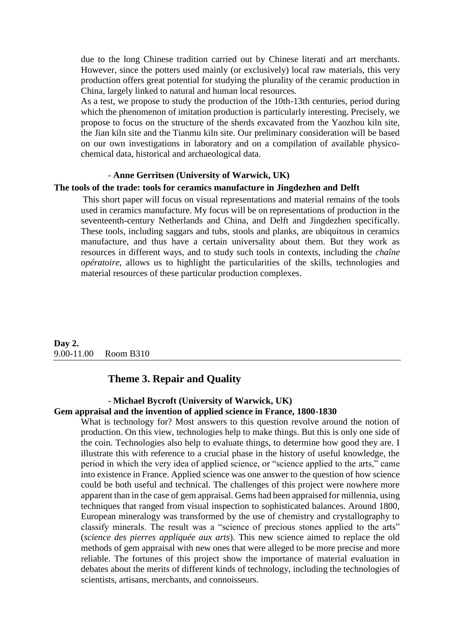due to the long Chinese tradition carried out by Chinese literati and art merchants. However, since the potters used mainly (or exclusively) local raw materials, this very production offers great potential for studying the plurality of the ceramic production in China, largely linked to natural and human local resources.

As a test, we propose to study the production of the 10th-13th centuries, period during which the phenomenon of imitation production is particularly interesting. Precisely, we propose to focus on the structure of the sherds excavated from the Yaozhou kiln site, the Jian kiln site and the Tianmu kiln site. Our preliminary consideration will be based on our own investigations in laboratory and on a compilation of available physicochemical data, historical and archaeological data.

#### - **Anne Gerritsen (University of Warwick, UK)**

### **The tools of the trade: tools for ceramics manufacture in Jingdezhen and Delft**

This short paper will focus on visual representations and material remains of the tools used in ceramics manufacture. My focus will be on representations of production in the seventeenth-century Netherlands and China, and Delft and Jingdezhen specifically. These tools, including saggars and tubs, stools and planks, are ubiquitous in ceramics manufacture, and thus have a certain universality about them. But they work as resources in different ways, and to study such tools in contexts, including the *chaîne opératoire*, allows us to highlight the particularities of the skills, technologies and material resources of these particular production complexes.

**Day 2.** 9.00-11.00 Room B310

## **Theme 3. Repair and Quality**

#### - **Michael Bycroft (University of Warwick, UK) Gem appraisal and the invention of applied science in France, 1800-1830**

What is technology for? Most answers to this question revolve around the notion of production. On this view, technologies help to make things. But this is only one side of the coin. Technologies also help to evaluate things, to determine how good they are. I illustrate this with reference to a crucial phase in the history of useful knowledge, the period in which the very idea of applied science, or "science applied to the arts," came into existence in France. Applied science was one answer to the question of how science could be both useful and technical. The challenges of this project were nowhere more apparent than in the case of gem appraisal. Gems had been appraised for millennia, using techniques that ranged from visual inspection to sophisticated balances. Around 1800, European mineralogy was transformed by the use of chemistry and crystallography to classify minerals. The result was a "science of precious stones applied to the arts" (*science des pierres appliquée aux arts*). This new science aimed to replace the old methods of gem appraisal with new ones that were alleged to be more precise and more reliable. The fortunes of this project show the importance of material evaluation in debates about the merits of different kinds of technology, including the technologies of scientists, artisans, merchants, and connoisseurs.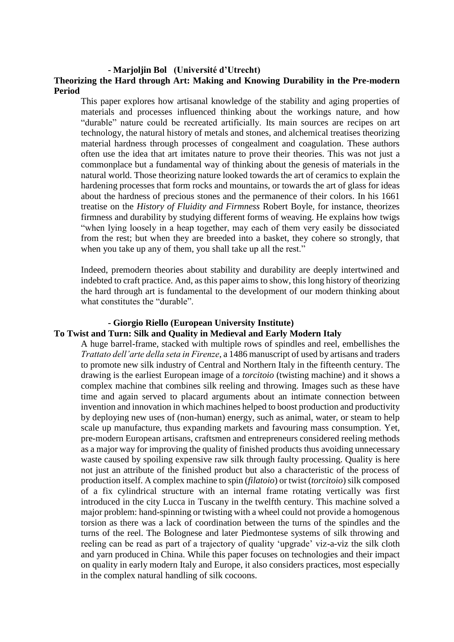#### **- Marjoljin Bol (Université d'Utrecht)**

## **Theorizing the Hard through Art: Making and Knowing Durability in the Pre-modern Period**

This paper explores how artisanal knowledge of the stability and aging properties of materials and processes influenced thinking about the workings nature, and how "durable" nature could be recreated artificially. Its main sources are recipes on art technology, the natural history of metals and stones, and alchemical treatises theorizing material hardness through processes of congealment and coagulation. These authors often use the idea that art imitates nature to prove their theories. This was not just a commonplace but a fundamental way of thinking about the genesis of materials in the natural world. Those theorizing nature looked towards the art of ceramics to explain the hardening processes that form rocks and mountains, or towards the art of glass for ideas about the hardness of precious stones and the permanence of their colors. In his 1661 treatise on the *History of Fluidity and Firmness* Robert Boyle, for instance, theorizes firmness and durability by studying different forms of weaving. He explains how twigs "when lying loosely in a heap together, may each of them very easily be dissociated from the rest; but when they are breeded into a basket, they cohere so strongly, that when you take up any of them, you shall take up all the rest."

Indeed, premodern theories about stability and durability are deeply intertwined and indebted to craft practice. And, as this paper aims to show, this long history of theorizing the hard through art is fundamental to the development of our modern thinking about what constitutes the "durable".

#### **- Giorgio Riello (European University Institute)**

## **To Twist and Turn: Silk and Quality in Medieval and Early Modern Italy**

A huge barrel-frame, stacked with multiple rows of spindles and reel, embellishes the *Trattato dell'arte della seta in Firenze*, a 1486 manuscript of used by artisans and traders to promote new silk industry of Central and Northern Italy in the fifteenth century. The drawing is the earliest European image of a *torcitoio* (twisting machine) and it shows a complex machine that combines silk reeling and throwing. Images such as these have time and again served to placard arguments about an intimate connection between invention and innovation in which machines helped to boost production and productivity by deploying new uses of (non-human) energy, such as animal, water, or steam to help scale up manufacture, thus expanding markets and favouring mass consumption. Yet, pre-modern European artisans, craftsmen and entrepreneurs considered reeling methods as a major way for improving the quality of finished products thus avoiding unnecessary waste caused by spoiling expensive raw silk through faulty processing. Quality is here not just an attribute of the finished product but also a characteristic of the process of production itself. A complex machine to spin (*filatoio*) or twist (*torcitoio*) silk composed of a fix cylindrical structure with an internal frame rotating vertically was first introduced in the city Lucca in Tuscany in the twelfth century. This machine solved a major problem: hand-spinning or twisting with a wheel could not provide a homogenous torsion as there was a lack of coordination between the turns of the spindles and the turns of the reel. The Bolognese and later Piedmontese systems of silk throwing and reeling can be read as part of a trajectory of quality 'upgrade' viz-a-viz the silk cloth and yarn produced in China. While this paper focuses on technologies and their impact on quality in early modern Italy and Europe, it also considers practices, most especially in the complex natural handling of silk cocoons.